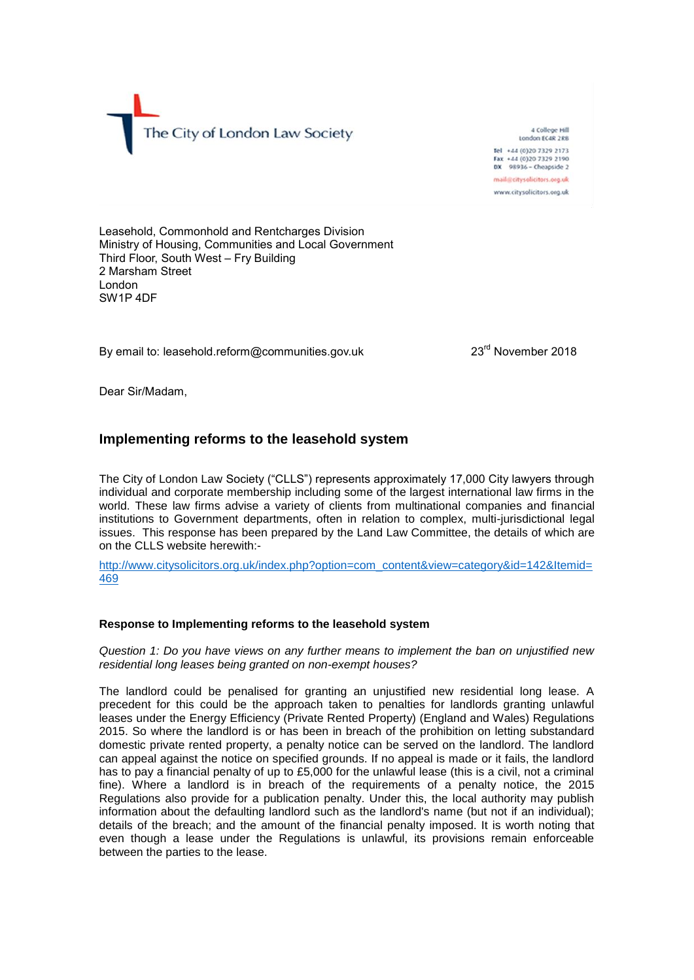The City of London Law Society

A College Hill London ECAR 2RB Tel +44 (0)20 7329 2173 Fax +44 (0)20 7329 2190 DX 98936 - Cheapside 2 mail@citysolicitors.org.uk www.citysolicitors.org.uk

Leasehold, Commonhold and Rentcharges Division Ministry of Housing, Communities and Local Government Third Floor, South West – Fry Building 2 Marsham Street London SW1P 4DF

By email to: leasehold.reform@communities.gov.uk

23<sup>rd</sup> November 2018

Dear Sir/Madam,

## **Implementing reforms to the leasehold system**

The City of London Law Society ("CLLS") represents approximately 17,000 City lawyers through individual and corporate membership including some of the largest international law firms in the world. These law firms advise a variety of clients from multinational companies and financial institutions to Government departments, often in relation to complex, multi-jurisdictional legal issues. This response has been prepared by the Land Law Committee, the details of which are on the CLLS website herewith:-

[http://www.citysolicitors.org.uk/index.php?option=com\\_content&view=category&id=142&Itemid=](http://www.citysolicitors.org.uk/index.php?option=com_content&view=category&id=142&Itemid=469) [469](http://www.citysolicitors.org.uk/index.php?option=com_content&view=category&id=142&Itemid=469)

## **Response to Implementing reforms to the leasehold system**

*Question 1: Do you have views on any further means to implement the ban on unjustified new residential long leases being granted on non-exempt houses?*

The landlord could be penalised for granting an unjustified new residential long lease. A precedent for this could be the approach taken to penalties for landlords granting unlawful leases under the Energy Efficiency (Private Rented Property) (England and Wales) Regulations 2015. So where the landlord is or has been in breach of the prohibition on letting substandard domestic private rented property, a penalty notice can be served on the landlord. The landlord can appeal against the notice on specified grounds. If no appeal is made or it fails, the landlord has to pay a financial penalty of up to £5,000 for the unlawful lease (this is a civil, not a criminal fine). Where a landlord is in breach of the requirements of a penalty notice, the 2015 Regulations also provide for a publication penalty. Under this, the local authority may publish information about the defaulting landlord such as the landlord's name (but not if an individual); details of the breach; and the amount of the financial penalty imposed. It is worth noting that even though a lease under the Regulations is unlawful, its provisions remain enforceable between the parties to the lease.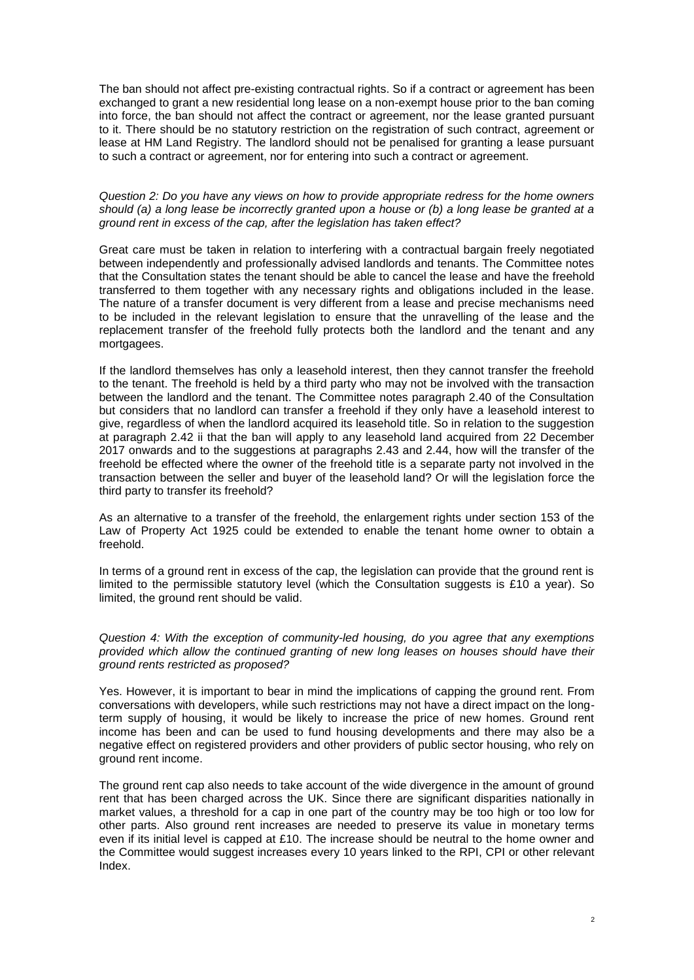The ban should not affect pre-existing contractual rights. So if a contract or agreement has been exchanged to grant a new residential long lease on a non-exempt house prior to the ban coming into force, the ban should not affect the contract or agreement, nor the lease granted pursuant to it. There should be no statutory restriction on the registration of such contract, agreement or lease at HM Land Registry. The landlord should not be penalised for granting a lease pursuant to such a contract or agreement, nor for entering into such a contract or agreement.

## *Question 2: Do you have any views on how to provide appropriate redress for the home owners should (a) a long lease be incorrectly granted upon a house or (b) a long lease be granted at a ground rent in excess of the cap, after the legislation has taken effect?*

Great care must be taken in relation to interfering with a contractual bargain freely negotiated between independently and professionally advised landlords and tenants. The Committee notes that the Consultation states the tenant should be able to cancel the lease and have the freehold transferred to them together with any necessary rights and obligations included in the lease. The nature of a transfer document is very different from a lease and precise mechanisms need to be included in the relevant legislation to ensure that the unravelling of the lease and the replacement transfer of the freehold fully protects both the landlord and the tenant and any mortgagees.

If the landlord themselves has only a leasehold interest, then they cannot transfer the freehold to the tenant. The freehold is held by a third party who may not be involved with the transaction between the landlord and the tenant. The Committee notes paragraph 2.40 of the Consultation but considers that no landlord can transfer a freehold if they only have a leasehold interest to give, regardless of when the landlord acquired its leasehold title. So in relation to the suggestion at paragraph 2.42 ii that the ban will apply to any leasehold land acquired from 22 December 2017 onwards and to the suggestions at paragraphs 2.43 and 2.44, how will the transfer of the freehold be effected where the owner of the freehold title is a separate party not involved in the transaction between the seller and buyer of the leasehold land? Or will the legislation force the third party to transfer its freehold?

As an alternative to a transfer of the freehold, the enlargement rights under section 153 of the Law of Property Act 1925 could be extended to enable the tenant home owner to obtain a freehold.

In terms of a ground rent in excess of the cap, the legislation can provide that the ground rent is limited to the permissible statutory level (which the Consultation suggests is £10 a year). So limited, the ground rent should be valid.

*Question 4: With the exception of community-led housing, do you agree that any exemptions provided which allow the continued granting of new long leases on houses should have their ground rents restricted as proposed?* 

Yes. However, it is important to bear in mind the implications of capping the ground rent. From conversations with developers, while such restrictions may not have a direct impact on the longterm supply of housing, it would be likely to increase the price of new homes. Ground rent income has been and can be used to fund housing developments and there may also be a negative effect on registered providers and other providers of public sector housing, who rely on ground rent income.

The ground rent cap also needs to take account of the wide divergence in the amount of ground rent that has been charged across the UK. Since there are significant disparities nationally in market values, a threshold for a cap in one part of the country may be too high or too low for other parts. Also ground rent increases are needed to preserve its value in monetary terms even if its initial level is capped at £10. The increase should be neutral to the home owner and the Committee would suggest increases every 10 years linked to the RPI. CPI or other relevant Index.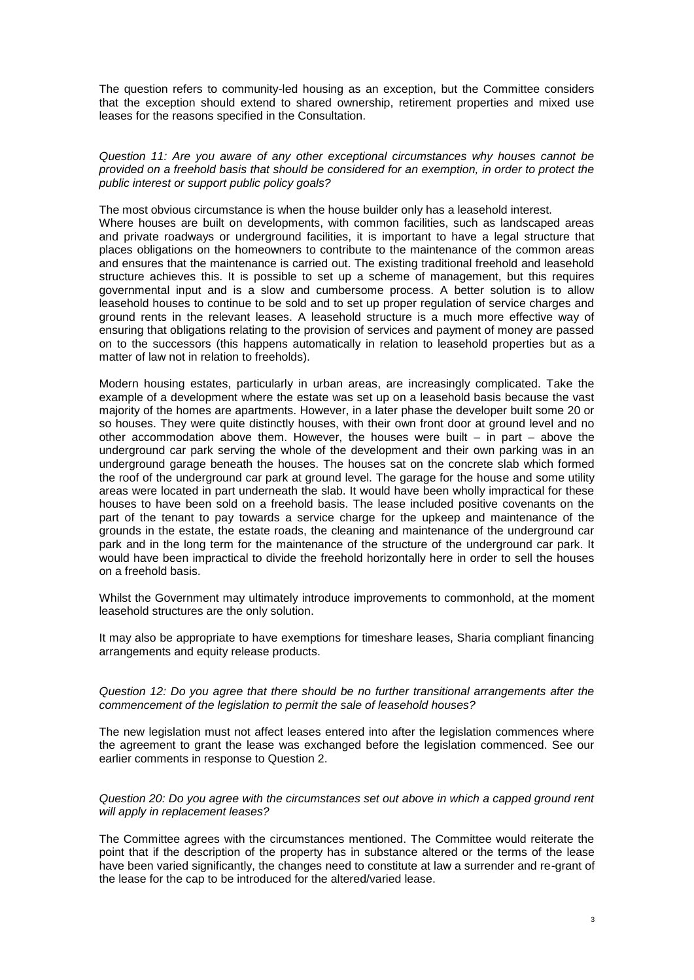The question refers to community-led housing as an exception, but the Committee considers that the exception should extend to shared ownership, retirement properties and mixed use leases for the reasons specified in the Consultation.

*Question 11: Are you aware of any other exceptional circumstances why houses cannot be provided on a freehold basis that should be considered for an exemption, in order to protect the public interest or support public policy goals?*

The most obvious circumstance is when the house builder only has a leasehold interest.

Where houses are built on developments, with common facilities, such as landscaped areas and private roadways or underground facilities, it is important to have a legal structure that places obligations on the homeowners to contribute to the maintenance of the common areas and ensures that the maintenance is carried out. The existing traditional freehold and leasehold structure achieves this. It is possible to set up a scheme of management, but this requires governmental input and is a slow and cumbersome process. A better solution is to allow leasehold houses to continue to be sold and to set up proper regulation of service charges and ground rents in the relevant leases. A leasehold structure is a much more effective way of ensuring that obligations relating to the provision of services and payment of money are passed on to the successors (this happens automatically in relation to leasehold properties but as a matter of law not in relation to freeholds).

Modern housing estates, particularly in urban areas, are increasingly complicated. Take the example of a development where the estate was set up on a leasehold basis because the vast majority of the homes are apartments. However, in a later phase the developer built some 20 or so houses. They were quite distinctly houses, with their own front door at ground level and no other accommodation above them. However, the houses were built  $-$  in part  $-$  above the underground car park serving the whole of the development and their own parking was in an underground garage beneath the houses. The houses sat on the concrete slab which formed the roof of the underground car park at ground level. The garage for the house and some utility areas were located in part underneath the slab. It would have been wholly impractical for these houses to have been sold on a freehold basis. The lease included positive covenants on the part of the tenant to pay towards a service charge for the upkeep and maintenance of the grounds in the estate, the estate roads, the cleaning and maintenance of the underground car park and in the long term for the maintenance of the structure of the underground car park. It would have been impractical to divide the freehold horizontally here in order to sell the houses on a freehold basis.

Whilst the Government may ultimately introduce improvements to commonhold, at the moment leasehold structures are the only solution.

It may also be appropriate to have exemptions for timeshare leases, Sharia compliant financing arrangements and equity release products.

*Question 12: Do you agree that there should be no further transitional arrangements after the commencement of the legislation to permit the sale of leasehold houses?* 

The new legislation must not affect leases entered into after the legislation commences where the agreement to grant the lease was exchanged before the legislation commenced. See our earlier comments in response to Question 2.

*Question 20: Do you agree with the circumstances set out above in which a capped ground rent will apply in replacement leases?*

The Committee agrees with the circumstances mentioned. The Committee would reiterate the point that if the description of the property has in substance altered or the terms of the lease have been varied significantly, the changes need to constitute at law a surrender and re-grant of the lease for the cap to be introduced for the altered/varied lease.